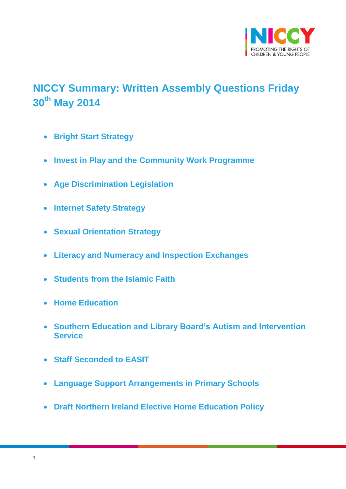

# <span id="page-0-0"></span>**NICCY Summary: Written Assembly Questions Friday 30th May 2014**

- **[Bright Start Strategy](#page-2-0)**
- **[Invest in Play and the Community Work Programme](#page-2-1)**
- **[Age Discrimination Legislation](#page-3-0)**
- **[Internet Safety Strategy](#page-4-0)**
- **[Sexual Orientation Strategy](#page-4-1)**
- **[Literacy and Numeracy and Inspection Exchanges](#page-5-0)**
- **[Students from the Islamic Faith](#page-7-0)**
- **[Home Education](#page-7-1)**
- **[Southern Education and Library Board's Autism and Intervention](#page-8-0)  [Service](#page-8-0)**
- **[Staff Seconded to EASIT](#page-8-1)**
- **[Language Support Arrangements in Primary Schools](#page-9-0)**
- **[Draft Northern Ireland Elective Home Education Policy](#page-10-0)**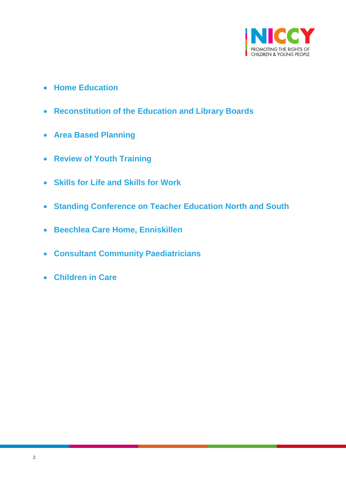

- **[Home Education](#page-11-0)**
- **[Reconstitution of the Education and Library Boards](#page-12-0)**
- **[Area Based Planning](#page-12-1)**
- **[Review of Youth Training](#page-13-0)**
- **[Skills for Life and Skills for Work](#page-14-0)**
- **[Standing Conference on Teacher Education North and South](#page-15-0)**
- **[Beechlea Care Home, Enniskillen](#page-16-0)**
- **[Consultant Community Paediatricians](#page-17-0)**
- **[Children in Care](#page-17-1)**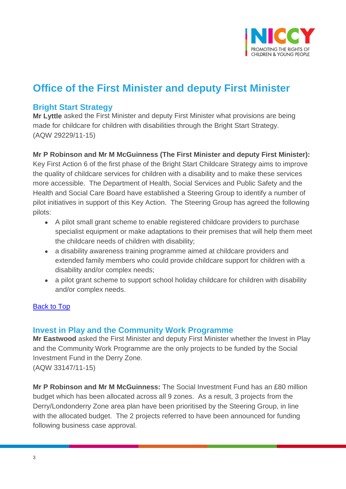

# **Office of the First Minister and deputy First Minister**

## <span id="page-2-0"></span>**Bright Start Strategy**

**Mr Lyttle** asked the First Minister and deputy First Minister what provisions are being made for childcare for children with disabilities through the Bright Start Strategy. (AQW 29229/11-15)

### **Mr P Robinson and Mr M McGuinness (The First Minister and deputy First Minister):**

Key First Action 6 of the first phase of the Bright Start Childcare Strategy aims to improve the quality of childcare services for children with a disability and to make these services more accessible. The Department of Health, Social Services and Public Safety and the Health and Social Care Board have established a Steering Group to identify a number of pilot initiatives in support of this Key Action. The Steering Group has agreed the following pilots:

- A pilot small grant scheme to enable registered childcare providers to purchase specialist equipment or make adaptations to their premises that will help them meet the childcare needs of children with disability;
- a disability awareness training programme aimed at childcare providers and extended family members who could provide childcare support for children with a disability and/or complex needs;
- a pilot grant scheme to support school holiday childcare for children with disability and/or complex needs.

### **[Back to Top](#page-0-0)**

## <span id="page-2-1"></span>**Invest in Play and the Community Work Programme**

**Mr Eastwood** asked the First Minister and deputy First Minister whether the Invest in Play and the Community Work Programme are the only projects to be funded by the Social Investment Fund in the Derry Zone. (AQW 33147/11-15)

**Mr P Robinson and Mr M McGuinness:** The Social Investment Fund has an £80 million budget which has been allocated across all 9 zones. As a result, 3 projects from the Derry/Londonderry Zone area plan have been prioritised by the Steering Group, in line with the allocated budget. The 2 projects referred to have been announced for funding following business case approval.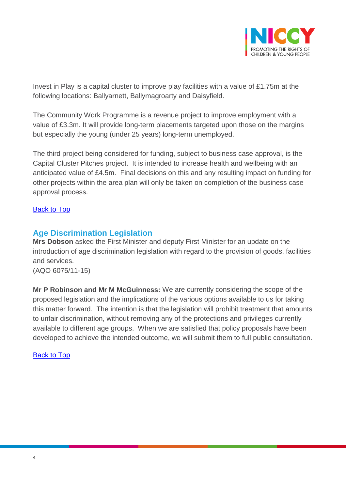

Invest in Play is a capital cluster to improve play facilities with a value of £1.75m at the following locations: Ballyarnett, Ballymagroarty and Daisyfield.

The Community Work Programme is a revenue project to improve employment with a value of £3.3m. It will provide long-term placements targeted upon those on the margins but especially the young (under 25 years) long-term unemployed.

The third project being considered for funding, subject to business case approval, is the Capital Cluster Pitches project. It is intended to increase health and wellbeing with an anticipated value of £4.5m. Final decisions on this and any resulting impact on funding for other projects within the area plan will only be taken on completion of the business case approval process.

### [Back to Top](#page-0-0)

# <span id="page-3-0"></span>**Age Discrimination Legislation**

**Mrs Dobson** asked the First Minister and deputy First Minister for an update on the introduction of age discrimination legislation with regard to the provision of goods, facilities and services.

(AQO 6075/11-15)

**Mr P Robinson and Mr M McGuinness:** We are currently considering the scope of the proposed legislation and the implications of the various options available to us for taking this matter forward. The intention is that the legislation will prohibit treatment that amounts to unfair discrimination, without removing any of the protections and privileges currently available to different age groups. When we are satisfied that policy proposals have been developed to achieve the intended outcome, we will submit them to full public consultation.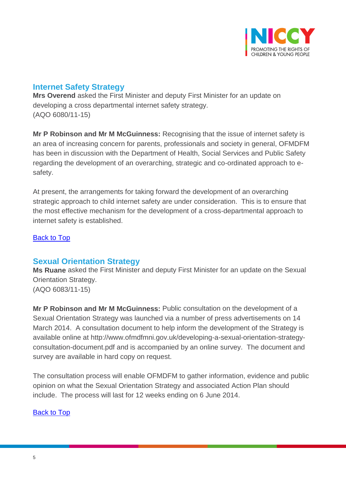

# <span id="page-4-0"></span>**Internet Safety Strategy**

**Mrs Overend** asked the First Minister and deputy First Minister for an update on developing a cross departmental internet safety strategy. (AQO 6080/11-15)

**Mr P Robinson and Mr M McGuinness:** Recognising that the issue of internet safety is an area of increasing concern for parents, professionals and society in general, OFMDFM has been in discussion with the Department of Health, Social Services and Public Safety regarding the development of an overarching, strategic and co-ordinated approach to esafety.

At present, the arrangements for taking forward the development of an overarching strategic approach to child internet safety are under consideration. This is to ensure that the most effective mechanism for the development of a cross-departmental approach to internet safety is established.

### [Back to Top](#page-0-0)

## <span id="page-4-1"></span>**Sexual Orientation Strategy**

**Ms Ruane** asked the First Minister and deputy First Minister for an update on the Sexual Orientation Strategy. (AQO 6083/11-15)

**Mr P Robinson and Mr M McGuinness:** Public consultation on the development of a Sexual Orientation Strategy was launched via a number of press advertisements on 14 March 2014. A consultation document to help inform the development of the Strategy is available online at http://www.ofmdfmni.gov.uk/developing-a-sexual-orientation-strategyconsultation-document.pdf and is accompanied by an online survey. The document and survey are available in hard copy on request.

The consultation process will enable OFMDFM to gather information, evidence and public opinion on what the Sexual Orientation Strategy and associated Action Plan should include. The process will last for 12 weeks ending on 6 June 2014.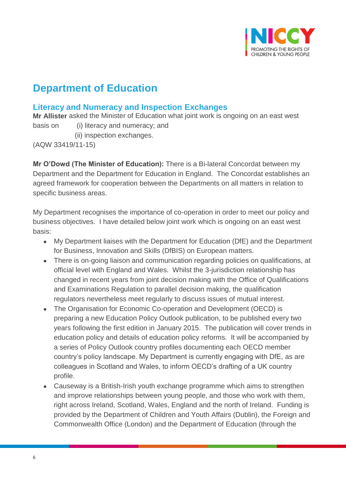

# **Department of Education**

# <span id="page-5-0"></span>**Literacy and Numeracy and Inspection Exchanges**

**Mr Allister** asked the Minister of Education what joint work is ongoing on an east west basis on (i) literacy and numeracy; and

(ii) inspection exchanges.

(AQW 33419/11-15)

**Mr O'Dowd (The Minister of Education):** There is a Bi-lateral Concordat between my Department and the Department for Education in England. The Concordat establishes an agreed framework for cooperation between the Departments on all matters in relation to specific business areas.

My Department recognises the importance of co-operation in order to meet our policy and business objectives. I have detailed below joint work which is ongoing on an east west basis:

- My Department liaises with the Department for Education (DfE) and the Department for Business, Innovation and Skills (DfBIS) on European matters.
- There is on-going liaison and communication regarding policies on qualifications, at official level with England and Wales. Whilst the 3-jurisdiction relationship has changed in recent years from joint decision making with the Office of Qualifications and Examinations Regulation to parallel decision making, the qualification regulators nevertheless meet regularly to discuss issues of mutual interest.
- The Organisation for Economic Co-operation and Development (OECD) is preparing a new Education Policy Outlook publication, to be published every two years following the first edition in January 2015. The publication will cover trends in education policy and details of education policy reforms. It will be accompanied by a series of Policy Outlook country profiles documenting each OECD member country's policy landscape. My Department is currently engaging with DfE, as are colleagues in Scotland and Wales, to inform OECD's drafting of a UK country profile.
- Causeway is a British-Irish youth exchange programme which aims to strengthen and improve relationships between young people, and those who work with them, right across Ireland, Scotland, Wales, England and the north of Ireland. Funding is provided by the Department of Children and Youth Affairs (Dublin), the Foreign and Commonwealth Office (London) and the Department of Education (through the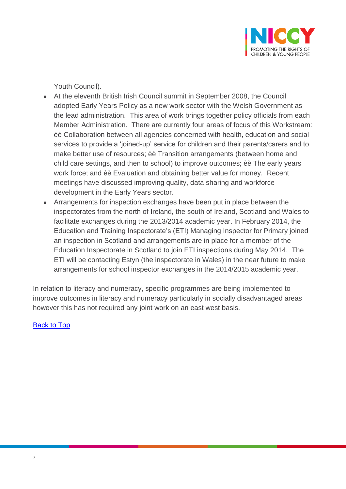

Youth Council).

- At the eleventh British Irish Council summit in September 2008, the Council adopted Early Years Policy as a new work sector with the Welsh Government as the lead administration. This area of work brings together policy officials from each Member Administration. There are currently four areas of focus of this Workstream: èè Collaboration between all agencies concerned with health, education and social services to provide a 'joined-up' service for children and their parents/carers and to make better use of resources; èè Transition arrangements (between home and child care settings, and then to school) to improve outcomes; èè The early years work force; and èè Evaluation and obtaining better value for money. Recent meetings have discussed improving quality, data sharing and workforce development in the Early Years sector.
- Arrangements for inspection exchanges have been put in place between the inspectorates from the north of Ireland, the south of Ireland, Scotland and Wales to facilitate exchanges during the 2013/2014 academic year. In February 2014, the Education and Training Inspectorate's (ETI) Managing Inspector for Primary joined an inspection in Scotland and arrangements are in place for a member of the Education Inspectorate in Scotland to join ETI inspections during May 2014. The ETI will be contacting Estyn (the inspectorate in Wales) in the near future to make arrangements for school inspector exchanges in the 2014/2015 academic year.

In relation to literacy and numeracy, specific programmes are being implemented to improve outcomes in literacy and numeracy particularly in socially disadvantaged areas however this has not required any joint work on an east west basis.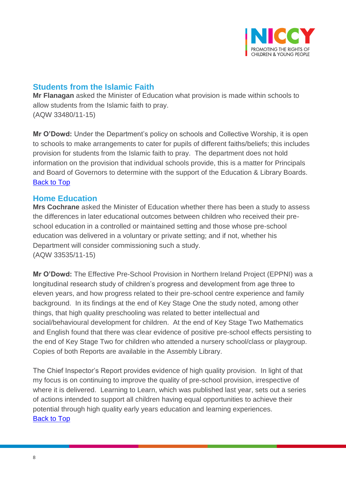

# <span id="page-7-0"></span>**Students from the Islamic Faith**

**Mr Flanagan** asked the Minister of Education what provision is made within schools to allow students from the Islamic faith to pray. (AQW 33480/11-15)

**Mr O'Dowd:** Under the Department's policy on schools and Collective Worship, it is open to schools to make arrangements to cater for pupils of different faiths/beliefs; this includes provision for students from the Islamic faith to pray. The department does not hold information on the provision that individual schools provide, this is a matter for Principals and Board of Governors to determine with the support of the Education & Library Boards. [Back to Top](#page-0-0)

### <span id="page-7-1"></span>**Home Education**

**Mrs Cochrane** asked the Minister of Education whether there has been a study to assess the differences in later educational outcomes between children who received their preschool education in a controlled or maintained setting and those whose pre-school education was delivered in a voluntary or private setting; and if not, whether his Department will consider commissioning such a study. (AQW 33535/11-15)

**Mr O'Dowd:** The Effective Pre-School Provision in Northern Ireland Project (EPPNI) was a longitudinal research study of children's progress and development from age three to eleven years, and how progress related to their pre-school centre experience and family background. In its findings at the end of Key Stage One the study noted, among other things, that high quality preschooling was related to better intellectual and social/behavioural development for children. At the end of Key Stage Two Mathematics and English found that there was clear evidence of positive pre-school effects persisting to the end of Key Stage Two for children who attended a nursery school/class or playgroup. Copies of both Reports are available in the Assembly Library.

The Chief Inspector's Report provides evidence of high quality provision. In light of that my focus is on continuing to improve the quality of pre-school provision, irrespective of where it is delivered. Learning to Learn, which was published last year, sets out a series of actions intended to support all children having equal opportunities to achieve their potential through high quality early years education and learning experiences. [Back to Top](#page-0-0)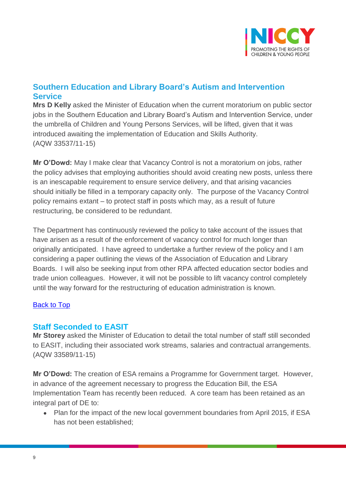

# <span id="page-8-0"></span>**Southern Education and Library Board's Autism and Intervention Service**

**Mrs D Kelly** asked the Minister of Education when the current moratorium on public sector jobs in the Southern Education and Library Board's Autism and Intervention Service, under the umbrella of Children and Young Persons Services, will be lifted, given that it was introduced awaiting the implementation of Education and Skills Authority. (AQW 33537/11-15)

**Mr O'Dowd:** May I make clear that Vacancy Control is not a moratorium on jobs, rather the policy advises that employing authorities should avoid creating new posts, unless there is an inescapable requirement to ensure service delivery, and that arising vacancies should initially be filled in a temporary capacity only. The purpose of the Vacancy Control policy remains extant – to protect staff in posts which may, as a result of future restructuring, be considered to be redundant.

The Department has continuously reviewed the policy to take account of the issues that have arisen as a result of the enforcement of vacancy control for much longer than originally anticipated. I have agreed to undertake a further review of the policy and I am considering a paper outlining the views of the Association of Education and Library Boards. I will also be seeking input from other RPA affected education sector bodies and trade union colleagues. However, it will not be possible to lift vacancy control completely until the way forward for the restructuring of education administration is known.

### [Back to Top](#page-0-0)

## <span id="page-8-1"></span>**Staff Seconded to EASIT**

**Mr Storey** asked the Minister of Education to detail the total number of staff still seconded to EASIT, including their associated work streams, salaries and contractual arrangements. (AQW 33589/11-15)

**Mr O'Dowd:** The creation of ESA remains a Programme for Government target. However, in advance of the agreement necessary to progress the Education Bill, the ESA Implementation Team has recently been reduced. A core team has been retained as an integral part of DE to:

• Plan for the impact of the new local government boundaries from April 2015, if ESA has not been established;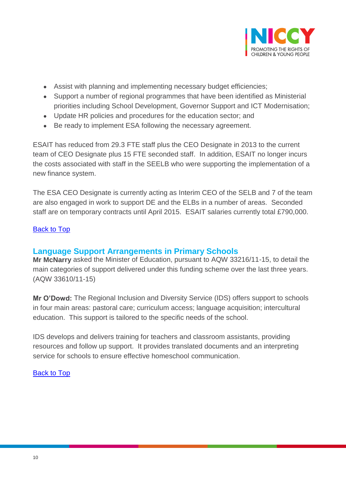

- Assist with planning and implementing necessary budget efficiencies;
- Support a number of regional programmes that have been identified as Ministerial priorities including School Development, Governor Support and ICT Modernisation;
- Update HR policies and procedures for the education sector; and
- Be ready to implement ESA following the necessary agreement.

ESAIT has reduced from 29.3 FTE staff plus the CEO Designate in 2013 to the current team of CEO Designate plus 15 FTE seconded staff. In addition, ESAIT no longer incurs the costs associated with staff in the SEELB who were supporting the implementation of a new finance system.

The ESA CEO Designate is currently acting as Interim CEO of the SELB and 7 of the team are also engaged in work to support DE and the ELBs in a number of areas. Seconded staff are on temporary contracts until April 2015. ESAIT salaries currently total £790,000.

### [Back to Top](#page-0-0)

## <span id="page-9-0"></span>**Language Support Arrangements in Primary Schools**

**Mr McNarry** asked the Minister of Education, pursuant to AQW 33216/11-15, to detail the main categories of support delivered under this funding scheme over the last three years. (AQW 33610/11-15)

**Mr O'Dowd:** The Regional Inclusion and Diversity Service (IDS) offers support to schools in four main areas: pastoral care; curriculum access; language acquisition; intercultural education. This support is tailored to the specific needs of the school.

IDS develops and delivers training for teachers and classroom assistants, providing resources and follow up support. It provides translated documents and an interpreting service for schools to ensure effective homeschool communication.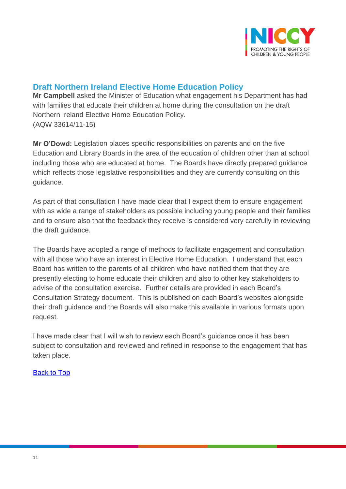

# <span id="page-10-0"></span>**Draft Northern Ireland Elective Home Education Policy**

**Mr Campbell** asked the Minister of Education what engagement his Department has had with families that educate their children at home during the consultation on the draft Northern Ireland Elective Home Education Policy. (AQW 33614/11-15)

**Mr O'Dowd:** Legislation places specific responsibilities on parents and on the five Education and Library Boards in the area of the education of children other than at school including those who are educated at home. The Boards have directly prepared guidance which reflects those legislative responsibilities and they are currently consulting on this guidance.

As part of that consultation I have made clear that I expect them to ensure engagement with as wide a range of stakeholders as possible including young people and their families and to ensure also that the feedback they receive is considered very carefully in reviewing the draft guidance.

The Boards have adopted a range of methods to facilitate engagement and consultation with all those who have an interest in Elective Home Education. I understand that each Board has written to the parents of all children who have notified them that they are presently electing to home educate their children and also to other key stakeholders to advise of the consultation exercise. Further details are provided in each Board's Consultation Strategy document. This is published on each Board's websites alongside their draft guidance and the Boards will also make this available in various formats upon request.

I have made clear that I will wish to review each Board's guidance once it has been subject to consultation and reviewed and refined in response to the engagement that has taken place.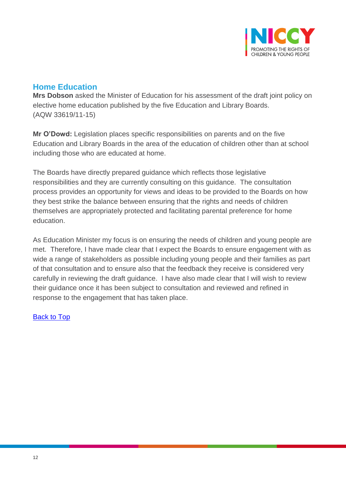

## <span id="page-11-0"></span>**Home Education**

**Mrs Dobson** asked the Minister of Education for his assessment of the draft joint policy on elective home education published by the five Education and Library Boards. (AQW 33619/11-15)

**Mr O'Dowd:** Legislation places specific responsibilities on parents and on the five Education and Library Boards in the area of the education of children other than at school including those who are educated at home.

The Boards have directly prepared guidance which reflects those legislative responsibilities and they are currently consulting on this guidance. The consultation process provides an opportunity for views and ideas to be provided to the Boards on how they best strike the balance between ensuring that the rights and needs of children themselves are appropriately protected and facilitating parental preference for home education.

As Education Minister my focus is on ensuring the needs of children and young people are met. Therefore, I have made clear that I expect the Boards to ensure engagement with as wide a range of stakeholders as possible including young people and their families as part of that consultation and to ensure also that the feedback they receive is considered very carefully in reviewing the draft guidance. I have also made clear that I will wish to review their guidance once it has been subject to consultation and reviewed and refined in response to the engagement that has taken place.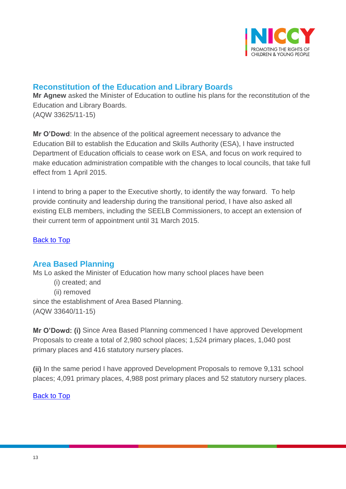

## <span id="page-12-0"></span>**Reconstitution of the Education and Library Boards**

**Mr Agnew** asked the Minister of Education to outline his plans for the reconstitution of the Education and Library Boards. (AQW 33625/11-15)

**Mr O'Dowd**: In the absence of the political agreement necessary to advance the Education Bill to establish the Education and Skills Authority (ESA), I have instructed Department of Education officials to cease work on ESA, and focus on work required to make education administration compatible with the changes to local councils, that take full effect from 1 April 2015.

I intend to bring a paper to the Executive shortly, to identify the way forward. To help provide continuity and leadership during the transitional period, I have also asked all existing ELB members, including the SEELB Commissioners, to accept an extension of their current term of appointment until 31 March 2015.

[Back to Top](#page-0-0)

## <span id="page-12-1"></span>**Area Based Planning**

Ms Lo asked the Minister of Education how many school places have been

(i) created; and (ii) removed since the establishment of Area Based Planning. (AQW 33640/11-15)

**Mr O'Dowd: (i)** Since Area Based Planning commenced I have approved Development Proposals to create a total of 2,980 school places; 1,524 primary places, 1,040 post primary places and 416 statutory nursery places.

**(ii)** In the same period I have approved Development Proposals to remove 9,131 school places; 4,091 primary places, 4,988 post primary places and 52 statutory nursery places.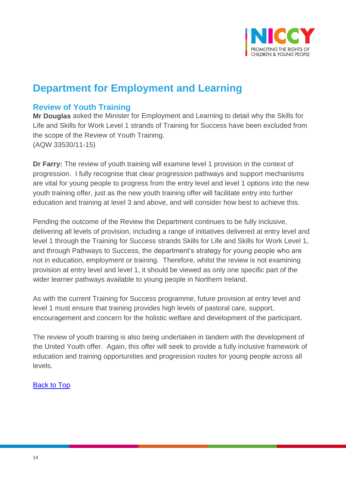

# **Department for Employment and Learning**

## <span id="page-13-0"></span>**Review of Youth Training**

**Mr Douglas** asked the Minister for Employment and Learning to detail why the Skills for Life and Skills for Work Level 1 strands of Training for Success have been excluded from the scope of the Review of Youth Training. (AQW 33530/11-15)

**Dr Farry:** The review of youth training will examine level 1 provision in the context of progression. I fully recognise that clear progression pathways and support mechanisms are vital for young people to progress from the entry level and level 1 options into the new youth training offer, just as the new youth training offer will facilitate entry into further education and training at level 3 and above, and will consider how best to achieve this.

Pending the outcome of the Review the Department continues to be fully inclusive, delivering all levels of provision, including a range of initiatives delivered at entry level and level 1 through the Training for Success strands Skills for Life and Skills for Work Level 1, and through Pathways to Success, the department's strategy for young people who are not in education, employment or training. Therefore, whilst the review is not examining provision at entry level and level 1, it should be viewed as only one specific part of the wider learner pathways available to young people in Northern Ireland.

As with the current Training for Success programme, future provision at entry level and level 1 must ensure that training provides high levels of pastoral care, support, encouragement and concern for the holistic welfare and development of the participant.

The review of youth training is also being undertaken in tandem with the development of the United Youth offer. Again, this offer will seek to provide a fully inclusive framework of education and training opportunities and progression routes for young people across all levels.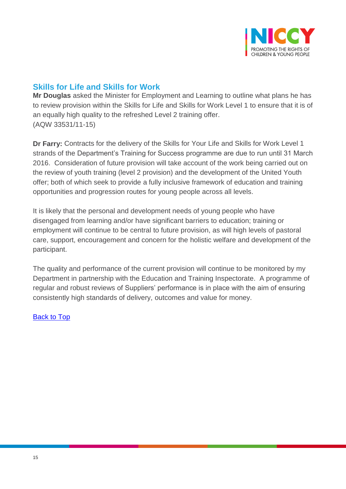

# <span id="page-14-0"></span>**Skills for Life and Skills for Work**

**Mr Douglas** asked the Minister for Employment and Learning to outline what plans he has to review provision within the Skills for Life and Skills for Work Level 1 to ensure that it is of an equally high quality to the refreshed Level 2 training offer. (AQW 33531/11-15)

**Dr Farry:** Contracts for the delivery of the Skills for Your Life and Skills for Work Level 1 strands of the Department's Training for Success programme are due to run until 31 March 2016. Consideration of future provision will take account of the work being carried out on the review of youth training (level 2 provision) and the development of the United Youth offer; both of which seek to provide a fully inclusive framework of education and training opportunities and progression routes for young people across all levels.

It is likely that the personal and development needs of young people who have disengaged from learning and/or have significant barriers to education; training or employment will continue to be central to future provision, as will high levels of pastoral care, support, encouragement and concern for the holistic welfare and development of the participant.

The quality and performance of the current provision will continue to be monitored by my Department in partnership with the Education and Training Inspectorate. A programme of regular and robust reviews of Suppliers' performance is in place with the aim of ensuring consistently high standards of delivery, outcomes and value for money.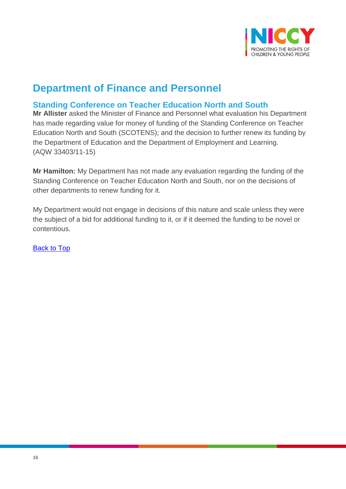

# **Department of Finance and Personnel**

# <span id="page-15-0"></span>**Standing Conference on Teacher Education North and South**

**Mr Allister** asked the Minister of Finance and Personnel what evaluation his Department has made regarding value for money of funding of the Standing Conference on Teacher Education North and South (SCOTENS); and the decision to further renew its funding by the Department of Education and the Department of Employment and Learning. (AQW 33403/11-15)

**Mr Hamilton:** My Department has not made any evaluation regarding the funding of the Standing Conference on Teacher Education North and South, nor on the decisions of other departments to renew funding for it.

My Department would not engage in decisions of this nature and scale unless they were the subject of a bid for additional funding to it, or if it deemed the funding to be novel or contentious.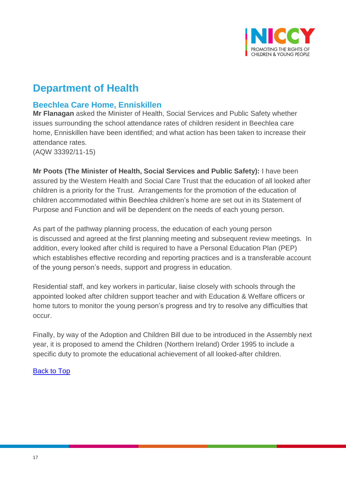

# **Department of Health**

## <span id="page-16-0"></span>**Beechlea Care Home, Enniskillen**

**Mr Flanagan** asked the Minister of Health, Social Services and Public Safety whether issues surrounding the school attendance rates of children resident in Beechlea care home, Enniskillen have been identified; and what action has been taken to increase their attendance rates.

(AQW 33392/11-15)

**Mr Poots (The Minister of Health, Social Services and Public Safety):** I have been assured by the Western Health and Social Care Trust that the education of all looked after children is a priority for the Trust. Arrangements for the promotion of the education of children accommodated within Beechlea children's home are set out in its Statement of Purpose and Function and will be dependent on the needs of each young person.

As part of the pathway planning process, the education of each young person is discussed and agreed at the first planning meeting and subsequent review meetings. In addition, every looked after child is required to have a Personal Education Plan (PEP) which establishes effective recording and reporting practices and is a transferable account of the young person's needs, support and progress in education.

Residential staff, and key workers in particular, liaise closely with schools through the appointed looked after children support teacher and with Education & Welfare officers or home tutors to monitor the young person's progress and try to resolve any difficulties that occur.

Finally, by way of the Adoption and Children Bill due to be introduced in the Assembly next year, it is proposed to amend the Children (Northern Ireland) Order 1995 to include a specific duty to promote the educational achievement of all looked-after children.